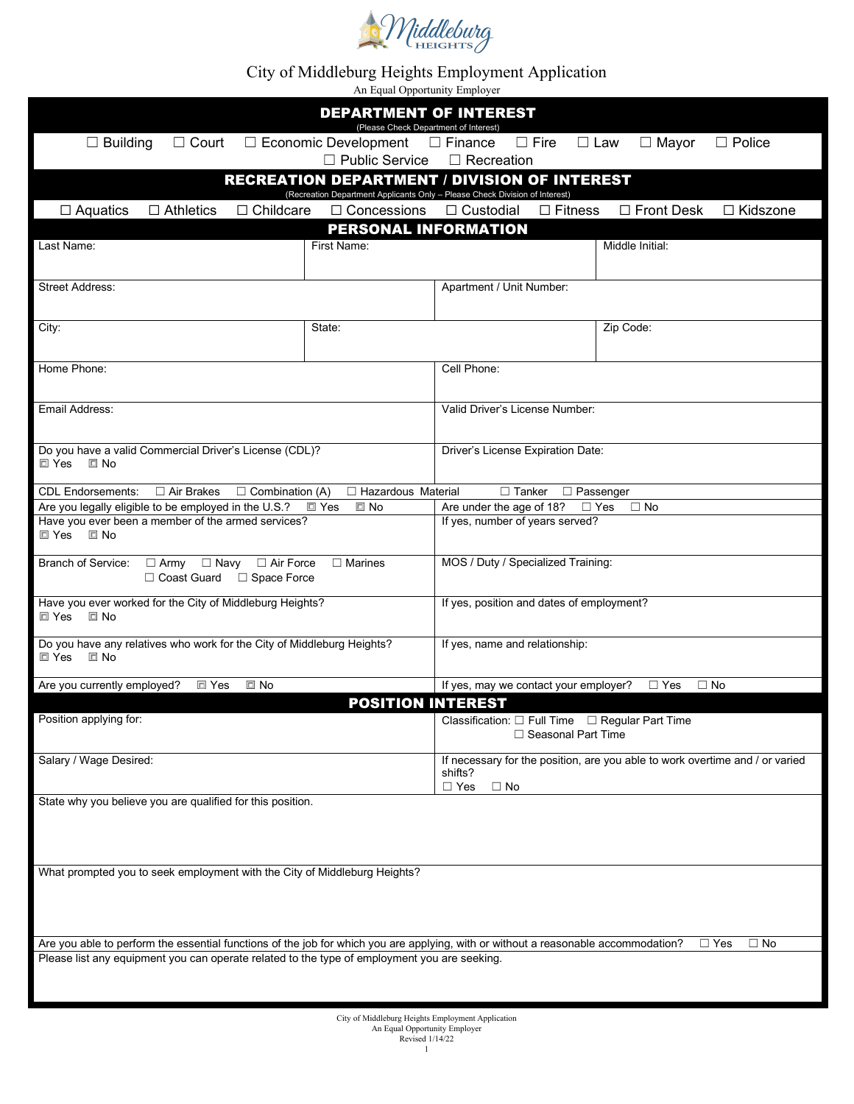

## City of Middleburg Heights Employment Application

An Equal Opportunity Employer

|                                                                                                                                                                                                                                    |                            | <b>DEPARTMENT OF INTEREST</b><br>(Please Check Department of Interest)  |                                                                              |  |  |  |  |  |  |  |
|------------------------------------------------------------------------------------------------------------------------------------------------------------------------------------------------------------------------------------|----------------------------|-------------------------------------------------------------------------|------------------------------------------------------------------------------|--|--|--|--|--|--|--|
| $\Box$ Economic Development<br>$\Box$ Building<br>$\square$ Finance<br>$\Box$ Fire<br>$\Box$ Law<br>$\Box$ Police<br>$\Box$ Court<br>$\Box$ Mayor<br>$\Box$ Public Service<br>$\Box$ Recreation                                    |                            |                                                                         |                                                                              |  |  |  |  |  |  |  |
| <b>RECREATION DEPARTMENT / DIVISION OF INTEREST</b><br>(Recreation Department Applicants Only - Please Check Division of Interest)                                                                                                 |                            |                                                                         |                                                                              |  |  |  |  |  |  |  |
| $\Box$ Childcare<br>$\Box$ Aquatics<br>$\Box$ Athletics                                                                                                                                                                            | $\Box$ Concessions         | □ Custodial<br>$\Box$ Fitness                                           | $\Box$ Front Desk<br>□ Kidszone                                              |  |  |  |  |  |  |  |
|                                                                                                                                                                                                                                    | PERSONAL INFORMATION       |                                                                         |                                                                              |  |  |  |  |  |  |  |
| Last Name:                                                                                                                                                                                                                         | First Name:                |                                                                         | Middle Initial:                                                              |  |  |  |  |  |  |  |
| <b>Street Address:</b>                                                                                                                                                                                                             |                            | Apartment / Unit Number:                                                |                                                                              |  |  |  |  |  |  |  |
| City:                                                                                                                                                                                                                              | State:                     |                                                                         | Zip Code:                                                                    |  |  |  |  |  |  |  |
| Home Phone:                                                                                                                                                                                                                        |                            | Cell Phone:                                                             |                                                                              |  |  |  |  |  |  |  |
| Email Address:                                                                                                                                                                                                                     |                            | Valid Driver's License Number:                                          |                                                                              |  |  |  |  |  |  |  |
| Do you have a valid Commercial Driver's License (CDL)?<br>$\Box$ Yes<br>$\square$ No                                                                                                                                               |                            | Driver's License Expiration Date:                                       |                                                                              |  |  |  |  |  |  |  |
| $\Box$ Air Brakes<br><b>CDL Endorsements:</b><br>$\Box$ Combination (A)                                                                                                                                                            | □ Hazardous Material       | $\Box$ Tanker                                                           | $\Box$ Passenger                                                             |  |  |  |  |  |  |  |
| Are you legally eligible to be employed in the U.S.?                                                                                                                                                                               | $\Box$ No<br>$\square$ Yes | Are under the age of 18?                                                | $\Box$ Yes<br>$\Box$ No                                                      |  |  |  |  |  |  |  |
| Have you ever been a member of the armed services?<br>□ Yes □ No                                                                                                                                                                   |                            | If yes, number of years served?                                         |                                                                              |  |  |  |  |  |  |  |
| Branch of Service: □ Army □ Navy □ Air Force<br>$\Box$ Marines<br>□ Coast Guard □ Space Force                                                                                                                                      |                            | MOS / Duty / Specialized Training:                                      |                                                                              |  |  |  |  |  |  |  |
| Have you ever worked for the City of Middleburg Heights?<br>$\square$ No<br>$\square$ Yes                                                                                                                                          |                            | If yes, position and dates of employment?                               |                                                                              |  |  |  |  |  |  |  |
| Do you have any relatives who work for the City of Middleburg Heights?<br>$\square$ Yes<br>$\Box$ No                                                                                                                               |                            | If yes, name and relationship:                                          |                                                                              |  |  |  |  |  |  |  |
| □ Yes<br>$\square$ No<br>Are you currently employed?                                                                                                                                                                               |                            | If yes, may we contact your employer?                                   | $\Box$ Yes<br>$\Box$ No                                                      |  |  |  |  |  |  |  |
| <b>POSITION INTEREST</b><br>Position applying for:                                                                                                                                                                                 |                            | Classification: □ Full Time □ Regular Part Time<br>□ Seasonal Part Time |                                                                              |  |  |  |  |  |  |  |
| Salary / Wage Desired:                                                                                                                                                                                                             |                            | shifts?<br>$\Box$ Yes<br>$\square$ No                                   | If necessary for the position, are you able to work overtime and / or varied |  |  |  |  |  |  |  |
| State why you believe you are qualified for this position.                                                                                                                                                                         |                            |                                                                         |                                                                              |  |  |  |  |  |  |  |
|                                                                                                                                                                                                                                    |                            |                                                                         |                                                                              |  |  |  |  |  |  |  |
| What prompted you to seek employment with the City of Middleburg Heights?                                                                                                                                                          |                            |                                                                         |                                                                              |  |  |  |  |  |  |  |
|                                                                                                                                                                                                                                    |                            |                                                                         | $\Box$ Yes<br>$\Box$ No                                                      |  |  |  |  |  |  |  |
| Are you able to perform the essential functions of the job for which you are applying, with or without a reasonable accommodation?<br>Please list any equipment you can operate related to the type of employment you are seeking. |                            |                                                                         |                                                                              |  |  |  |  |  |  |  |